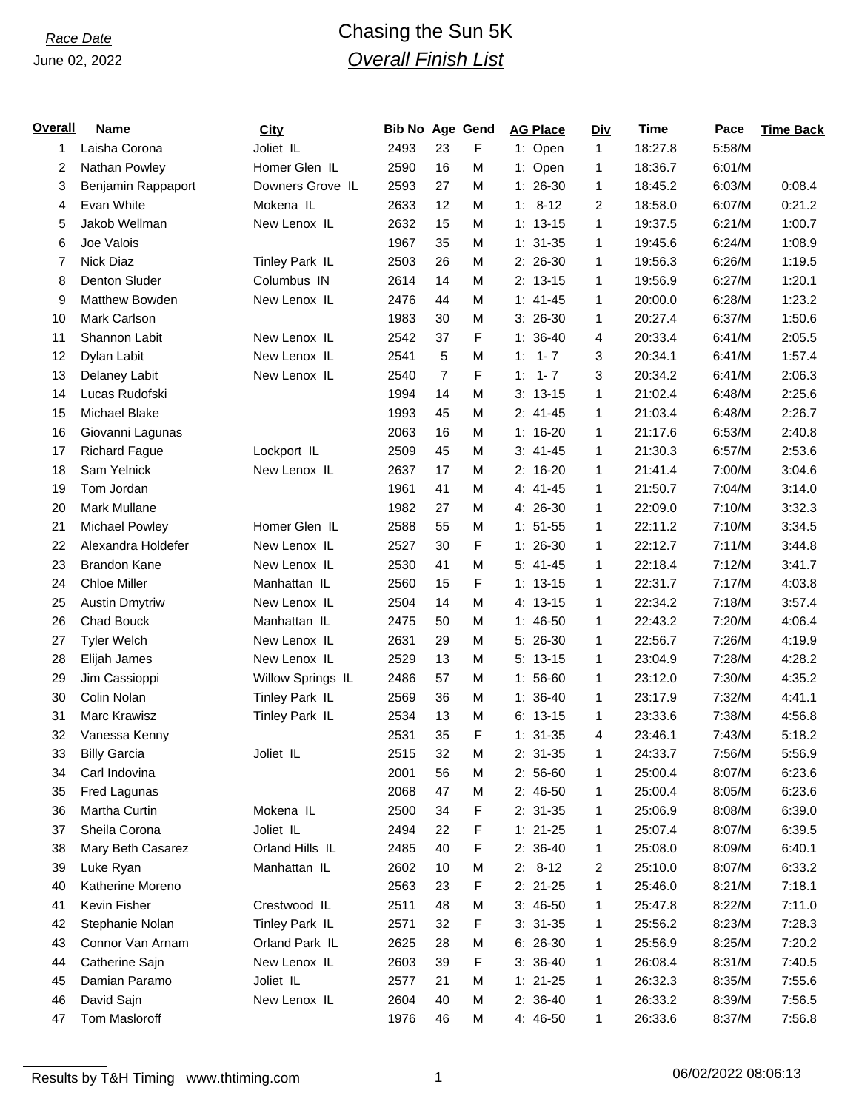# *Race Date* Chasing the Sun 5K *Overall Finish List*

| <b>Overall</b> | <b>Name</b>           | <b>City</b>       | <b>Bib No Age Gend</b> |                |   | <b>AG Place</b> | <b>Div</b>     | <b>Time</b> | Pace   | <b>Time Back</b> |
|----------------|-----------------------|-------------------|------------------------|----------------|---|-----------------|----------------|-------------|--------|------------------|
| 1              | Laisha Corona         | Joliet IL         | 2493                   | 23             | F | 1: Open         | $\mathbf{1}$   | 18:27.8     | 5:58/M |                  |
| $\overline{c}$ | Nathan Powley         | Homer Glen IL     | 2590                   | 16             | M | 1: Open         | 1              | 18:36.7     | 6:01/M |                  |
| 3              | Benjamin Rappaport    | Downers Grove IL  | 2593                   | 27             | M | $1:26-30$       | $\mathbf{1}$   | 18:45.2     | 6:03/M | 0:08.4           |
| 4              | Evan White            | Mokena IL         | 2633                   | 12             | M | $1: 8-12$       | $\overline{2}$ | 18:58.0     | 6:07/M | 0:21.2           |
| 5              | Jakob Wellman         | New Lenox IL      | 2632                   | 15             | M | $1: 13-15$      | $\mathbf{1}$   | 19:37.5     | 6:21/M | 1:00.7           |
| 6              | Joe Valois            |                   | 1967                   | 35             | M | $1: 31-35$      | $\mathbf{1}$   | 19:45.6     | 6:24/M | 1:08.9           |
| 7              | Nick Diaz             | Tinley Park IL    | 2503                   | 26             | M | $2: 26-30$      | $\mathbf{1}$   | 19:56.3     | 6:26/M | 1:19.5           |
| 8              | Denton Sluder         | Columbus IN       | 2614                   | 14             | M | $2: 13-15$      | 1              | 19:56.9     | 6:27/M | 1:20.1           |
| 9              | Matthew Bowden        | New Lenox IL      | 2476                   | 44             | M | $1: 41 - 45$    | $\mathbf{1}$   | 20:00.0     | 6:28/M | 1:23.2           |
| 10             | Mark Carlson          |                   | 1983                   | 30             | M | $3: 26-30$      | 1              | 20:27.4     | 6:37/M | 1:50.6           |
| 11             | Shannon Labit         | New Lenox IL      | 2542                   | 37             | F | $1: 36-40$      | 4              | 20:33.4     | 6:41/M | 2:05.5           |
| 12             | Dylan Labit           | New Lenox IL      | 2541                   | 5              | M | $1 - 7$<br>1:   | 3              | 20:34.1     | 6:41/M | 1:57.4           |
| 13             | Delaney Labit         | New Lenox IL      | 2540                   | $\overline{7}$ | F | $1: 1 - 7$      | 3              | 20:34.2     | 6:41/M | 2:06.3           |
| 14             | Lucas Rudofski        |                   | 1994                   | 14             | M | $3: 13-15$      | $\mathbf{1}$   | 21:02.4     | 6:48/M | 2:25.6           |
| 15             | Michael Blake         |                   | 1993                   | 45             | M | $2: 41-45$      | $\mathbf{1}$   | 21:03.4     | 6:48/M | 2:26.7           |
| 16             | Giovanni Lagunas      |                   | 2063                   | 16             | M | $1: 16-20$      | $\mathbf{1}$   | 21:17.6     | 6:53/M | 2:40.8           |
| 17             | <b>Richard Fague</b>  | Lockport IL       | 2509                   | 45             | M | $3: 41 - 45$    | $\mathbf{1}$   | 21:30.3     | 6:57/M | 2:53.6           |
| 18             | Sam Yelnick           | New Lenox IL      | 2637                   | 17             | M | $2: 16-20$      | $\mathbf{1}$   | 21:41.4     | 7:00/M | 3:04.6           |
| 19             | Tom Jordan            |                   | 1961                   | 41             | M | $4: 41 - 45$    | $\mathbf{1}$   | 21:50.7     | 7:04/M | 3:14.0           |
| 20             | <b>Mark Mullane</b>   |                   | 1982                   | 27             | M | 4: 26-30        | 1              | 22:09.0     | 7:10/M | 3:32.3           |
| 21             | Michael Powley        | Homer Glen IL     | 2588                   | 55             | M | $1: 51 - 55$    | $\mathbf{1}$   | 22:11.2     | 7:10/M | 3:34.5           |
| 22             | Alexandra Holdefer    | New Lenox IL      | 2527                   | 30             | F | $1: 26-30$      | $\mathbf{1}$   | 22:12.7     | 7:11/M | 3:44.8           |
| 23             | <b>Brandon Kane</b>   | New Lenox IL      | 2530                   | 41             | M | $5: 41 - 45$    | $\mathbf{1}$   | 22:18.4     | 7:12/M | 3:41.7           |
| 24             | <b>Chloe Miller</b>   | Manhattan IL      | 2560                   | 15             | F | $1: 13-15$      | 1              | 22:31.7     | 7:17/M | 4:03.8           |
| 25             | <b>Austin Dmytriw</b> | New Lenox IL      | 2504                   | 14             | M | 4: 13-15        | $\mathbf{1}$   | 22:34.2     | 7:18/M | 3:57.4           |
| 26             | Chad Bouck            | Manhattan IL      | 2475                   | 50             | M | $1:46-50$       | 1              | 22:43.2     | 7:20/M | 4:06.4           |
| 27             | <b>Tyler Welch</b>    | New Lenox IL      | 2631                   | 29             | M | $5:26-30$       | $\mathbf{1}$   | 22:56.7     | 7:26/M | 4:19.9           |
| 28             | Elijah James          | New Lenox IL      | 2529                   | 13             | M | $5: 13-15$      | 1              | 23:04.9     | 7:28/M | 4:28.2           |
| 29             | Jim Cassioppi         | Willow Springs IL | 2486                   | 57             | M | $1:56-60$       | $\mathbf{1}$   | 23:12.0     | 7:30/M | 4:35.2           |
| 30             | Colin Nolan           | Tinley Park IL    | 2569                   | 36             | M | $1: 36-40$      | 1              | 23:17.9     | 7:32/M | 4:41.1           |
| 31             | Marc Krawisz          | Tinley Park IL    | 2534                   | 13             | M | $6: 13-15$      | $\mathbf{1}$   | 23:33.6     | 7:38/M | 4:56.8           |
| 32             | Vanessa Kenny         |                   | 2531                   | 35             | F | $1: 31-35$      | 4              | 23:46.1     | 7:43/M | 5:18.2           |
| 33             | <b>Billy Garcia</b>   | Joliet IL         | 2515                   | 32             | M | $2:31-35$       | 1              | 24:33.7     | 7:56/M | 5:56.9           |
| 34             | Carl Indovina         |                   | 2001                   | 56             | M | $2:56-60$       | 1              | 25:00.4     | 8:07/M | 6:23.6           |
| 35             | Fred Lagunas          |                   | 2068                   | 47             | M | $2: 46-50$      | 1              | 25:00.4     | 8:05/M | 6:23.6           |
| 36             | Martha Curtin         | Mokena IL         | 2500                   | 34             | F | $2: 31-35$      | 1              | 25:06.9     | 8:08/M | 6:39.0           |
| 37             | Sheila Corona         | Joliet IL         | 2494                   | 22             | F | $1: 21-25$      | 1              | 25:07.4     | 8:07/M | 6:39.5           |
| 38             | Mary Beth Casarez     | Orland Hills IL   | 2485                   | 40             | F | $2: 36-40$      | 1              | 25:08.0     | 8:09/M | 6:40.1           |
| 39             | Luke Ryan             | Manhattan IL      | 2602                   | 10             | M | $2: 8-12$       | 2              | 25:10.0     | 8:07/M | 6:33.2           |
| 40             | Katherine Moreno      |                   | 2563                   | 23             | F | $2: 21-25$      | 1              | 25:46.0     | 8:21/M | 7:18.1           |
| 41             | Kevin Fisher          | Crestwood IL      | 2511                   | 48             | M | $3:46-50$       | 1              | 25:47.8     | 8:22/M | 7:11.0           |
| 42             | Stephanie Nolan       | Tinley Park IL    | 2571                   | 32             | F | $3: 31-35$      | 1              | 25:56.2     | 8:23/M | 7:28.3           |
| 43             | Connor Van Arnam      | Orland Park IL    | 2625                   | 28             | M | $6: 26-30$      | 1              | 25:56.9     | 8:25/M | 7:20.2           |
| 44             | Catherine Sajn        | New Lenox IL      | 2603                   | 39             | F | $3: 36-40$      | 1              | 26:08.4     | 8:31/M | 7:40.5           |
| 45             | Damian Paramo         | Joliet IL         | 2577                   | 21             | M | $1: 21-25$      | 1              | 26:32.3     | 8:35/M | 7:55.6           |
| 46             | David Sajn            | New Lenox IL      | 2604                   | 40             | M | $2: 36-40$      | 1              | 26:33.2     | 8:39/M | 7:56.5           |
| 47             | Tom Masloroff         |                   | 1976                   | 46             | M | 4: 46-50        | 1              | 26:33.6     | 8:37/M | 7:56.8           |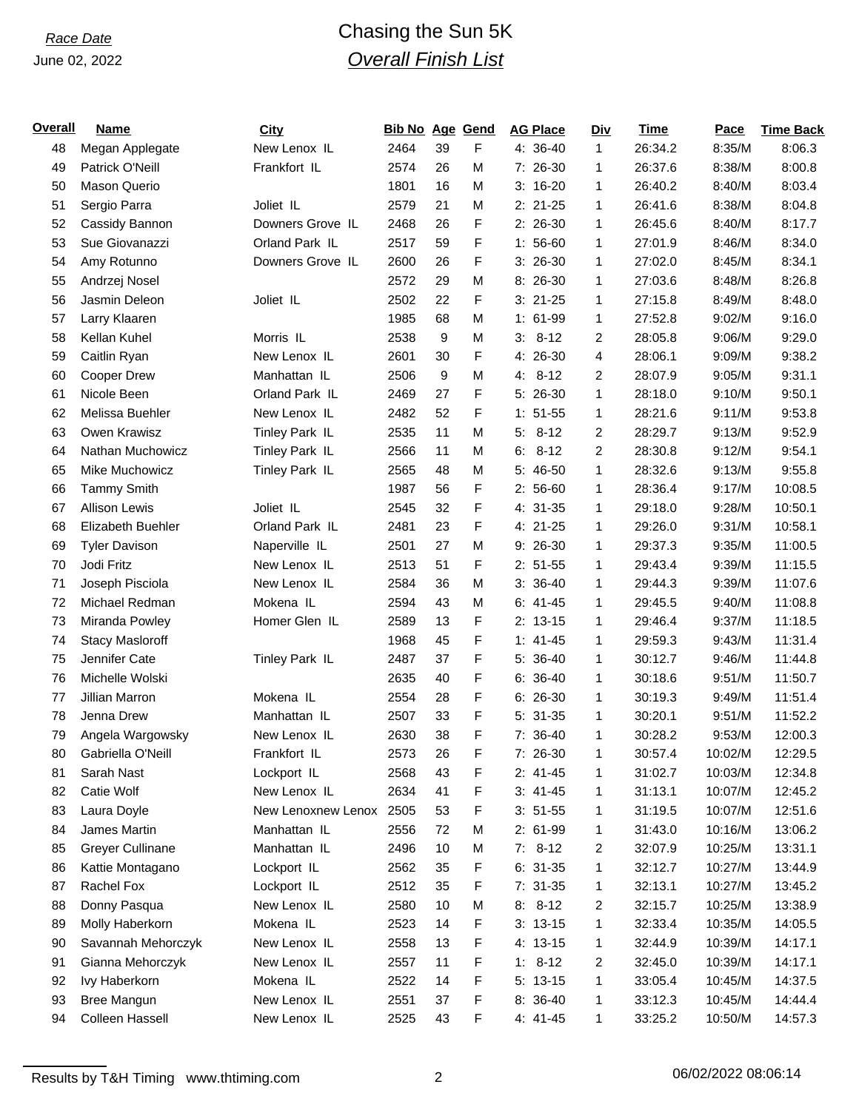## *Race Date* Chasing the Sun 5K *Overall Finish List*

| <b>Overall</b> | <b>Name</b>             | City               | <b>Bib No Age Gend</b> |    |   | <b>AG Place</b> | <u>Div</u>   | <b>Time</b> | Pace    | <b>Time Back</b> |
|----------------|-------------------------|--------------------|------------------------|----|---|-----------------|--------------|-------------|---------|------------------|
| 48             | Megan Applegate         | New Lenox IL       | 2464                   | 39 | F | 4: 36-40        | $\mathbf{1}$ | 26:34.2     | 8:35/M  | 8:06.3           |
| 49             | Patrick O'Neill         | Frankfort IL       | 2574                   | 26 | M | $7:26-30$       | $\mathbf{1}$ | 26:37.6     | 8:38/M  | 8:00.8           |
| 50             | Mason Querio            |                    | 1801                   | 16 | M | $3: 16-20$      | 1            | 26:40.2     | 8:40/M  | 8:03.4           |
| 51             | Sergio Parra            | Joliet IL          | 2579                   | 21 | M | $2: 21-25$      | 1            | 26:41.6     | 8:38/M  | 8:04.8           |
| 52             | Cassidy Bannon          | Downers Grove IL   | 2468                   | 26 | F | 2: 26-30        | 1            | 26:45.6     | 8:40/M  | 8:17.7           |
| 53             | Sue Giovanazzi          | Orland Park IL     | 2517                   | 59 | F | $1:56-60$       | $\mathbf{1}$ | 27:01.9     | 8:46/M  | 8:34.0           |
| 54             | Amy Rotunno             | Downers Grove IL   | 2600                   | 26 | F | $3:26-30$       | 1            | 27:02.0     | 8:45/M  | 8:34.1           |
| 55             | Andrzej Nosel           |                    | 2572                   | 29 | M | 8: 26-30        | $\mathbf{1}$ | 27:03.6     | 8:48/M  | 8:26.8           |
| 56             | Jasmin Deleon           | Joliet IL          | 2502                   | 22 | F | $3:21-25$       | 1            | 27:15.8     | 8:49/M  | 8:48.0           |
| 57             | Larry Klaaren           |                    | 1985                   | 68 | M | $1: 61-99$      | $\mathbf{1}$ | 27:52.8     | 9:02/M  | 9:16.0           |
| 58             | Kellan Kuhel            | Morris IL          | 2538                   | 9  | М | $3: 8-12$       | 2            | 28:05.8     | 9:06/M  | 9:29.0           |
| 59             | Caitlin Ryan            | New Lenox IL       | 2601                   | 30 | F | 4: 26-30        | 4            | 28:06.1     | 9:09/M  | 9:38.2           |
| 60             | <b>Cooper Drew</b>      | Manhattan IL       | 2506                   | 9  | M | $4: 8-12$       | 2            | 28:07.9     | 9:05/M  | 9:31.1           |
| 61             | Nicole Been             | Orland Park IL     | 2469                   | 27 | F | $5:26-30$       | $\mathbf{1}$ | 28:18.0     | 9:10/M  | 9:50.1           |
| 62             | Melissa Buehler         | New Lenox IL       | 2482                   | 52 | F | $1: 51-55$      | 1            | 28:21.6     | 9:11/M  | 9:53.8           |
| 63             | Owen Krawisz            | Tinley Park IL     | 2535                   | 11 | M | $5: 8-12$       | 2            | 28:29.7     | 9:13/M  | 9:52.9           |
| 64             | Nathan Muchowicz        | Tinley Park IL     | 2566                   | 11 | M | $6: 8-12$       | 2            | 28:30.8     | 9:12/M  | 9:54.1           |
| 65             | Mike Muchowicz          | Tinley Park IL     | 2565                   | 48 | M | 5: 46-50        | $\mathbf{1}$ | 28:32.6     | 9:13/M  | 9:55.8           |
| 66             | <b>Tammy Smith</b>      |                    | 1987                   | 56 | F | $2: 56-60$      | 1            | 28:36.4     | 9:17/M  | 10:08.5          |
| 67             | <b>Allison Lewis</b>    | Joliet IL          | 2545                   | 32 | F | 4: 31-35        | 1            | 29:18.0     | 9:28/M  | 10:50.1          |
| 68             | Elizabeth Buehler       | Orland Park IL     | 2481                   | 23 | F | 4: 21-25        | 1            | 29:26.0     | 9:31/M  | 10:58.1          |
| 69             | <b>Tyler Davison</b>    | Naperville IL      | 2501                   | 27 | M | $9:26-30$       | $\mathbf{1}$ | 29:37.3     | 9:35/M  | 11:00.5          |
| 70             | Jodi Fritz              | New Lenox IL       | 2513                   | 51 | F | $2: 51-55$      | 1            | 29:43.4     | 9:39/M  | 11:15.5          |
| 71             | Joseph Pisciola         | New Lenox IL       | 2584                   | 36 | M | $3: 36-40$      | $\mathbf{1}$ | 29:44.3     | 9:39/M  | 11:07.6          |
| 72             | Michael Redman          | Mokena IL          | 2594                   | 43 | M | $6: 41-45$      | 1            | 29:45.5     | 9:40/M  | 11:08.8          |
| 73             | Miranda Powley          | Homer Glen IL      | 2589                   | 13 | F | $2: 13-15$      | $\mathbf{1}$ | 29:46.4     | 9:37/M  | 11:18.5          |
| 74             | <b>Stacy Masloroff</b>  |                    | 1968                   | 45 | F | $1: 41-45$      | 1            | 29:59.3     | 9:43/M  | 11:31.4          |
| 75             | Jennifer Cate           | Tinley Park IL     | 2487                   | 37 | F | 5: 36-40        | $\mathbf{1}$ | 30:12.7     | 9:46/M  | 11:44.8          |
| 76             | Michelle Wolski         |                    | 2635                   | 40 | F | $6: 36-40$      | 1            | 30:18.6     | 9:51/M  | 11:50.7          |
| 77             | Jillian Marron          | Mokena IL          | 2554                   | 28 | F | $6: 26-30$      | $\mathbf{1}$ | 30:19.3     | 9:49/M  | 11:51.4          |
| 78             | Jenna Drew              | Manhattan IL       | 2507                   | 33 | F | $5:31-35$       | 1            | 30:20.1     | 9:51/M  | 11:52.2          |
| 79             | Angela Wargowsky        | New Lenox IL       | 2630                   | 38 | F | 7: 36-40        | $\mathbf{1}$ | 30:28.2     | 9:53/M  | 12:00.3          |
| 80             | Gabriella O'Neill       | Frankfort IL       | 2573                   | 26 | F | 7: 26-30        | 1            | 30:57.4     | 10:02/M | 12:29.5          |
| 81             | Sarah Nast              | Lockport IL        | 2568                   | 43 | F | $2: 41-45$      | 1            | 31:02.7     | 10:03/M | 12:34.8          |
| 82             | Catie Wolf              | New Lenox IL       | 2634                   | 41 | F | $3: 41-45$      | 1            | 31:13.1     | 10:07/M | 12:45.2          |
| 83             | Laura Doyle             | New Lenoxnew Lenox | 2505                   | 53 | F | $3: 51-55$      | 1            | 31:19.5     | 10:07/M | 12:51.6          |
| 84             | James Martin            | Manhattan IL       | 2556                   | 72 | М | 2: 61-99        | 1            | 31:43.0     | 10:16/M | 13:06.2          |
| 85             | <b>Greyer Cullinane</b> | Manhattan IL       | 2496                   | 10 | M | $7: 8-12$       | 2            | 32:07.9     | 10:25/M | 13:31.1          |
| 86             | Kattie Montagano        | Lockport IL        | 2562                   | 35 | F | $6: 31-35$      | 1            | 32:12.7     | 10:27/M | 13:44.9          |
| 87             | Rachel Fox              | Lockport IL        | 2512                   | 35 | F | $7: 31-35$      | 1            | 32:13.1     | 10:27/M | 13:45.2          |
| 88             | Donny Pasqua            | New Lenox IL       | 2580                   | 10 | M | $8: 8-12$       | 2            | 32:15.7     | 10:25/M | 13:38.9          |
| 89             | Molly Haberkorn         | Mokena IL          | 2523                   | 14 | F | $3: 13-15$      | 1            | 32:33.4     | 10:35/M | 14:05.5          |
| 90             | Savannah Mehorczyk      | New Lenox IL       | 2558                   | 13 | F | 4: 13-15        | 1            | 32:44.9     | 10:39/M | 14:17.1          |
| 91             | Gianna Mehorczyk        | New Lenox IL       | 2557                   | 11 | F | $1: 8-12$       | 2            | 32:45.0     | 10:39/M | 14:17.1          |
| 92             | Ivy Haberkorn           | Mokena IL          | 2522                   | 14 | F | $5: 13-15$      | 1            | 33:05.4     | 10:45/M | 14:37.5          |
| 93             | <b>Bree Mangun</b>      | New Lenox IL       | 2551                   | 37 | F | 8: 36-40        | 1            | 33:12.3     | 10:45/M | 14:44.4          |
| 94             | <b>Colleen Hassell</b>  | New Lenox IL       | 2525                   | 43 | F | 4: 41-45        | 1            | 33:25.2     | 10:50/M | 14:57.3          |

Results by T&H Timing www.thtiming.com 2 2 06/02/2022 08:06:14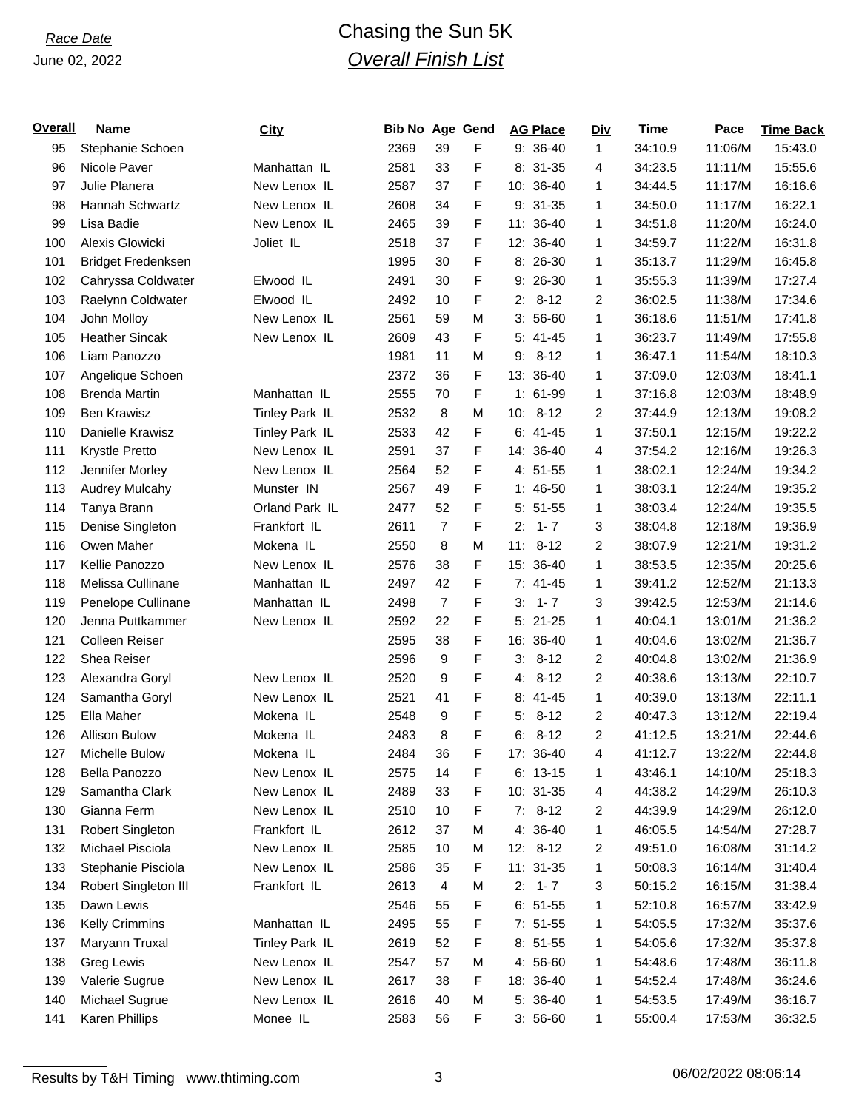# *Race Date* Chasing the Sun 5K *Overall Finish List*

| Overall | Name                      | <u>City</u>    | <b>Bib No Age Gend</b> |                |   | <b>AG Place</b> | <u>Div</u>     | Time    | Pace    | <b>Time Back</b> |
|---------|---------------------------|----------------|------------------------|----------------|---|-----------------|----------------|---------|---------|------------------|
| 95      | Stephanie Schoen          |                | 2369                   | 39             | F | $9: 36-40$      | $\mathbf{1}$   | 34:10.9 | 11:06/M | 15:43.0          |
| 96      | Nicole Paver              | Manhattan IL   | 2581                   | 33             | F | $8:31-35$       | 4              | 34:23.5 | 11:11/M | 15:55.6          |
| 97      | Julie Planera             | New Lenox IL   | 2587                   | 37             | F | 10: 36-40       | $\mathbf{1}$   | 34:44.5 | 11:17/M | 16:16.6          |
| 98      | Hannah Schwartz           | New Lenox IL   | 2608                   | 34             | F | $9:31-35$       | 1              | 34:50.0 | 11:17/M | 16:22.1          |
| 99      | Lisa Badie                | New Lenox IL   | 2465                   | 39             | F | 11: 36-40       | 1              | 34:51.8 | 11:20/M | 16:24.0          |
| 100     | Alexis Glowicki           | Joliet IL      | 2518                   | 37             | F | 12: 36-40       | 1              | 34:59.7 | 11:22/M | 16:31.8          |
| 101     | <b>Bridget Fredenksen</b> |                | 1995                   | 30             | F | 8: 26-30        | 1              | 35:13.7 | 11:29/M | 16:45.8          |
| 102     | Cahryssa Coldwater        | Elwood IL      | 2491                   | 30             | F | $9:26-30$       | $\mathbf{1}$   | 35:55.3 | 11:39/M | 17:27.4          |
| 103     | Raelynn Coldwater         | Elwood IL      | 2492                   | 10             | F | $2: 8-12$       | $\overline{2}$ | 36:02.5 | 11:38/M | 17:34.6          |
| 104     | John Molloy               | New Lenox IL   | 2561                   | 59             | M | $3:56-60$       | $\mathbf{1}$   | 36:18.6 | 11:51/M | 17:41.8          |
| 105     | <b>Heather Sincak</b>     | New Lenox IL   | 2609                   | 43             | F | $5: 41-45$      | 1              | 36:23.7 | 11:49/M | 17:55.8          |
| 106     | Liam Panozzo              |                | 1981                   | 11             | M | $8 - 12$<br>9:  | $\mathbf{1}$   | 36:47.1 | 11:54/M | 18:10.3          |
| 107     | Angelique Schoen          |                | 2372                   | 36             | F | 13: 36-40       | 1              | 37:09.0 | 12:03/M | 18:41.1          |
| 108     | <b>Brenda Martin</b>      | Manhattan IL   | 2555                   | 70             | F | $1: 61-99$      | 1              | 37:16.8 | 12:03/M | 18:48.9          |
| 109     | <b>Ben Krawisz</b>        | Tinley Park IL | 2532                   | 8              | M | $10: 8-12$      | $\overline{2}$ | 37:44.9 | 12:13/M | 19:08.2          |
| 110     | Danielle Krawisz          | Tinley Park IL | 2533                   | 42             | F | $6: 41-45$      | $\mathbf{1}$   | 37:50.1 | 12:15/M | 19:22.2          |
| 111     | Krystle Pretto            | New Lenox IL   | 2591                   | 37             | F | 14: 36-40       | 4              | 37:54.2 | 12:16/M | 19:26.3          |
| 112     | Jennifer Morley           | New Lenox IL   | 2564                   | 52             | F | $4:51-55$       | $\mathbf{1}$   | 38:02.1 | 12:24/M | 19:34.2          |
| 113     | <b>Audrey Mulcahy</b>     | Munster IN     | 2567                   | 49             | F | $1:46-50$       | $\mathbf{1}$   | 38:03.1 | 12:24/M | 19:35.2          |
| 114     | Tanya Brann               | Orland Park IL | 2477                   | 52             | F | $5: 51-55$      | $\mathbf{1}$   | 38:03.4 | 12:24/M | 19:35.5          |
| 115     | Denise Singleton          | Frankfort IL   | 2611                   | $\overline{7}$ | F | $1 - 7$<br>2:   | 3              | 38:04.8 | 12:18/M | 19:36.9          |
| 116     | Owen Maher                | Mokena IL      | 2550                   | 8              | M | $11: 8-12$      | 2              | 38:07.9 | 12:21/M | 19:31.2          |
| 117     | Kellie Panozzo            | New Lenox IL   | 2576                   | 38             | F | 15: 36-40       | 1              | 38:53.5 | 12:35/M | 20:25.6          |
| 118     | Melissa Cullinane         | Manhattan IL   | 2497                   | 42             | F | $7: 41-45$      | $\mathbf{1}$   | 39:41.2 | 12:52/M | 21:13.3          |
| 119     | Penelope Cullinane        | Manhattan IL   | 2498                   | $\overline{7}$ | F | $3: 1 - 7$      | 3              | 39:42.5 | 12:53/M | 21:14.6          |
| 120     | Jenna Puttkammer          | New Lenox IL   | 2592                   | 22             | F | $5:21-25$       | $\mathbf{1}$   | 40:04.1 | 13:01/M | 21:36.2          |
| 121     | <b>Colleen Reiser</b>     |                | 2595                   | 38             | F | 16: 36-40       | $\mathbf{1}$   | 40:04.6 | 13:02/M | 21:36.7          |
| 122     | Shea Reiser               |                | 2596                   | 9              | F | $3: 8-12$       | $\overline{2}$ | 40:04.8 | 13:02/M | 21:36.9          |
| 123     | Alexandra Goryl           | New Lenox IL   | 2520                   | 9              | F | $4: 8-12$       | $\overline{2}$ | 40:38.6 | 13:13/M | 22:10.7          |
| 124     | Samantha Goryl            | New Lenox IL   | 2521                   | 41             | F | $8:41-45$       | $\mathbf{1}$   | 40:39.0 | 13:13/M | 22:11.1          |
| 125     | Ella Maher                | Mokena IL      | 2548                   | 9              | F | $5: 8-12$       | 2              | 40:47.3 | 13:12/M | 22:19.4          |
| 126     | <b>Allison Bulow</b>      | Mokena IL      | 2483                   | 8              | F | $6: 8-12$       | 2              | 41:12.5 | 13:21/M | 22:44.6          |
| 127     | Michelle Bulow            | Mokena IL      | 2484                   | 36             | F | 17: 36-40       | 4              | 41:12.7 | 13:22/M | 22:44.8          |
| 128     | Bella Panozzo             | New Lenox IL   | 2575                   | 14             | F | $6: 13-15$      | 1              | 43:46.1 | 14:10/M | 25:18.3          |
| 129     | Samantha Clark            | New Lenox IL   | 2489                   | 33             | F | 10: 31-35       | 4              | 44:38.2 | 14:29/M | 26:10.3          |
| 130     | Gianna Ferm               | New Lenox IL   | 2510                   | 10             | F | $7: 8-12$       | 2              | 44:39.9 | 14:29/M | 26:12.0          |
| 131     | <b>Robert Singleton</b>   | Frankfort IL   | 2612                   | 37             | M | 4: 36-40        | 1              | 46:05.5 | 14:54/M | 27:28.7          |
| 132     | Michael Pisciola          | New Lenox IL   | 2585                   | 10             | M | $12: 8-12$      | 2              | 49:51.0 | 16:08/M | 31:14.2          |
| 133     | Stephanie Pisciola        | New Lenox IL   | 2586                   | 35             | F | 11: 31-35       | 1              | 50:08.3 | 16:14/M | 31:40.4          |
| 134     | Robert Singleton III      | Frankfort IL   | 2613                   | 4              | M | $1 - 7$<br>2:   | 3              | 50:15.2 | 16:15/M | 31:38.4          |
| 135     | Dawn Lewis                |                | 2546                   | 55             | F | $6: 51-55$      | 1              | 52:10.8 | 16:57/M | 33:42.9          |
| 136     | <b>Kelly Crimmins</b>     | Manhattan IL   | 2495                   | 55             | F | $7: 51-55$      | 1              | 54:05.5 | 17:32/M | 35:37.6          |
| 137     | Maryann Truxal            | Tinley Park IL | 2619                   | 52             | F | $8: 51-55$      | 1              | 54:05.6 | 17:32/M | 35:37.8          |
| 138     | Greg Lewis                | New Lenox IL   | 2547                   | 57             | M | 4: 56-60        | 1              | 54:48.6 | 17:48/M | 36:11.8          |
| 139     | Valerie Sugrue            | New Lenox IL   | 2617                   | 38             | F | 18: 36-40       | 1              | 54:52.4 | 17:48/M | 36:24.6          |
| 140     | Michael Sugrue            | New Lenox IL   | 2616                   | 40             | M | 5: 36-40        | 1              | 54:53.5 | 17:49/M | 36:16.7          |
| 141     | Karen Phillips            | Monee IL       | 2583                   | 56             | F | $3:56-60$       | 1              | 55:00.4 | 17:53/M | 36:32.5          |
|         |                           |                |                        |                |   |                 |                |         |         |                  |